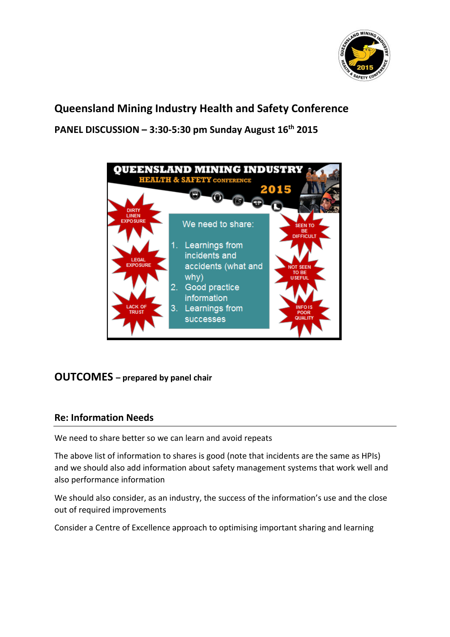

# **Queensland Mining Industry Health and Safety Conference PANEL DISCUSSION – 3:30-5:30 pm Sunday August 16th 2015**



## **OUTCOMES – prepared by panel chair**

### **Re: Information Needs**

We need to share better so we can learn and avoid repeats

The above list of information to shares is good (note that incidents are the same as HPIs) and we should also add information about safety management systems that work well and also performance information

We should also consider, as an industry, the success of the information's use and the close out of required improvements

Consider a Centre of Excellence approach to optimising important sharing and learning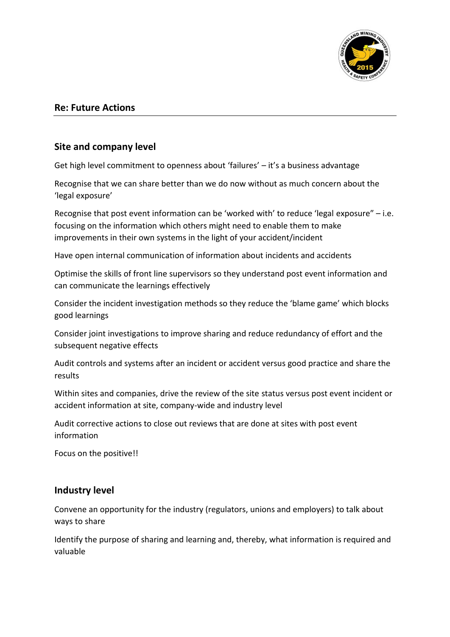

#### **Re: Future Actions**

#### **Site and company level**

Get high level commitment to openness about 'failures' – it's a business advantage

Recognise that we can share better than we do now without as much concern about the 'legal exposure'

Recognise that post event information can be 'worked with' to reduce 'legal exposure" – i.e. focusing on the information which others might need to enable them to make improvements in their own systems in the light of your accident/incident

Have open internal communication of information about incidents and accidents

Optimise the skills of front line supervisors so they understand post event information and can communicate the learnings effectively

Consider the incident investigation methods so they reduce the 'blame game' which blocks good learnings

Consider joint investigations to improve sharing and reduce redundancy of effort and the subsequent negative effects

Audit controls and systems after an incident or accident versus good practice and share the results

Within sites and companies, drive the review of the site status versus post event incident or accident information at site, company-wide and industry level

Audit corrective actions to close out reviews that are done at sites with post event information

Focus on the positive!!

#### **Industry level**

Convene an opportunity for the industry (regulators, unions and employers) to talk about ways to share

Identify the purpose of sharing and learning and, thereby, what information is required and valuable